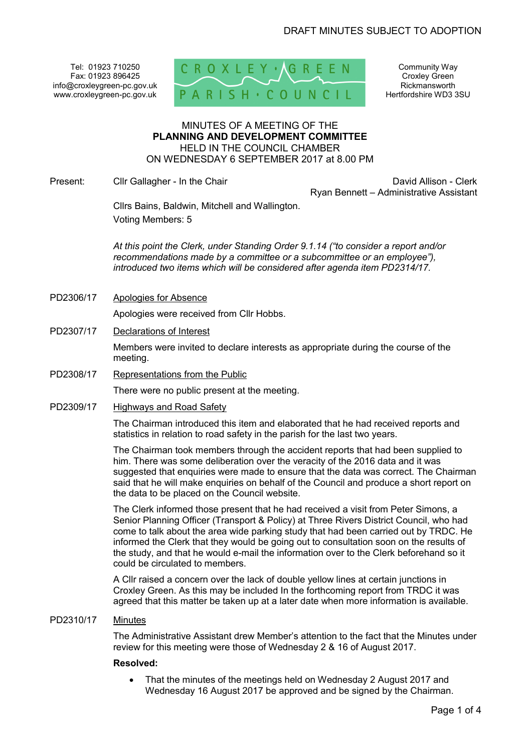Tel: 01923 710250 Fax: 01923 896425 info@croxleygreen-pc.gov.uk www.croxleygreen-pc.gov.uk



Community Way Croxley Green Rickmansworth Hertfordshire WD3 3SU

#### MINUTES OF A MEETING OF THE **PLANNING AND DEVELOPMENT COMMITTEE** HELD IN THE COUNCIL CHAMBER ON WEDNESDAY 6 SEPTEMBER 2017 at 8.00 PM

Present: Clir Gallagher - In the Chair Chair David Allison - Clerk

Ryan Bennett – Administrative Assistant

Cllrs Bains, Baldwin, Mitchell and Wallington. Voting Members: 5

*At this point the Clerk, under Standing Order 9.1.14 ("to consider a report and/or recommendations made by a committee or a subcommittee or an employee"), introduced two items which will be considered after agenda item PD2314/17.* 

PD2306/17 Apologies for Absence

Apologies were received from Cllr Hobbs.

PD2307/17 Declarations of Interest

Members were invited to declare interests as appropriate during the course of the meeting.

PD2308/17 Representations from the Public

There were no public present at the meeting.

PD2309/17 Highways and Road Safety

The Chairman introduced this item and elaborated that he had received reports and statistics in relation to road safety in the parish for the last two years.

The Chairman took members through the accident reports that had been supplied to him. There was some deliberation over the veracity of the 2016 data and it was suggested that enquiries were made to ensure that the data was correct. The Chairman said that he will make enquiries on behalf of the Council and produce a short report on the data to be placed on the Council website.

The Clerk informed those present that he had received a visit from Peter Simons, a Senior Planning Officer (Transport & Policy) at Three Rivers District Council, who had come to talk about the area wide parking study that had been carried out by TRDC. He informed the Clerk that they would be going out to consultation soon on the results of the study, and that he would e-mail the information over to the Clerk beforehand so it could be circulated to members.

A Cllr raised a concern over the lack of double yellow lines at certain junctions in Croxley Green. As this may be included In the forthcoming report from TRDC it was agreed that this matter be taken up at a later date when more information is available.

### PD2310/17 Minutes

The Administrative Assistant drew Member's attention to the fact that the Minutes under review for this meeting were those of Wednesday 2 & 16 of August 2017.

### **Resolved:**

• That the minutes of the meetings held on Wednesday 2 August 2017 and Wednesday 16 August 2017 be approved and be signed by the Chairman.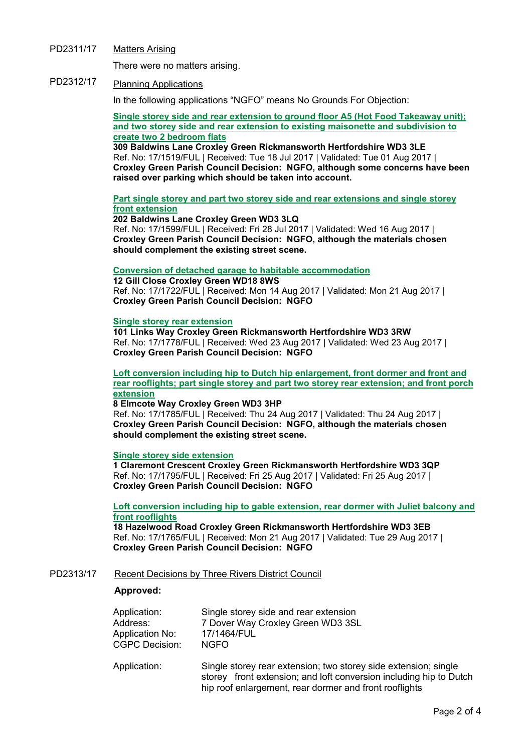PD2311/17 Matters Arising

There were no matters arising.

# PD2312/17 Planning Applications

In the following applications "NGFO" means No Grounds For Objection:

**Single storey side and rear extension to ground floor A5 (Hot Food Takeaway unit); and two storey side and rear extension to existing maisonette and subdivision to create two 2 bedroom flats**

**309 Baldwins Lane Croxley Green Rickmansworth Hertfordshire WD3 3LE**  Ref. No: 17/1519/FUL | Received: Tue 18 Jul 2017 | Validated: Tue 01 Aug 2017 | **Croxley Green Parish Council Decision: NGFO, although some concerns have been raised over parking which should be taken into account.** 

**Part single storey and part two storey side and rear extensions and single storey front extension**

**202 Baldwins Lane Croxley Green WD3 3LQ**  Ref. No: 17/1599/FUL | Received: Fri 28 Jul 2017 | Validated: Wed 16 Aug 2017 | **Croxley Green Parish Council Decision: NGFO, although the materials chosen should complement the existing street scene.** 

## **Conversion of detached garage to habitable accommodation**

**12 Gill Close Croxley Green WD18 8WS**  Ref. No: 17/1722/FUL | Received: Mon 14 Aug 2017 | Validated: Mon 21 Aug 2017 | **Croxley Green Parish Council Decision: NGFO**

## **Single storey rear extension**

**101 Links Way Croxley Green Rickmansworth Hertfordshire WD3 3RW**  Ref. No: 17/1778/FUL | Received: Wed 23 Aug 2017 | Validated: Wed 23 Aug 2017 | **Croxley Green Parish Council Decision: NGFO** 

**Loft conversion including hip to Dutch hip enlargement, front dormer and front and rear rooflights; part single storey and part two storey rear extension; and front porch extension**

## **8 Elmcote Way Croxley Green WD3 3HP**

Ref. No: 17/1785/FUL | Received: Thu 24 Aug 2017 | Validated: Thu 24 Aug 2017 | **Croxley Green Parish Council Decision: NGFO, although the materials chosen should complement the existing street scene.** 

## **Single storey side extension**

**1 Claremont Crescent Croxley Green Rickmansworth Hertfordshire WD3 3QP**  Ref. No: 17/1795/FUL | Received: Fri 25 Aug 2017 | Validated: Fri 25 Aug 2017 | **Croxley Green Parish Council Decision: NGFO** 

**Loft conversion including hip to gable extension, rear dormer with Juliet balcony and front rooflights**

**18 Hazelwood Road Croxley Green Rickmansworth Hertfordshire WD3 3EB**  Ref. No: 17/1765/FUL | Received: Mon 21 Aug 2017 | Validated: Tue 29 Aug 2017 | **Croxley Green Parish Council Decision: NGFO**

# PD2313/17 Recent Decisions by Three Rivers District Council

## **Approved:**

| Application:          | Single storey side and rear extension |
|-----------------------|---------------------------------------|
| Address:              | 7 Dover Way Croxley Green WD3 3SL     |
| Application No:       | 17/1464/FUL                           |
| <b>CGPC Decision:</b> | <b>NGFO</b>                           |
|                       |                                       |

Application: Single storey rear extension; two storey side extension; single storey front extension; and loft conversion including hip to Dutch hip roof enlargement, rear dormer and front rooflights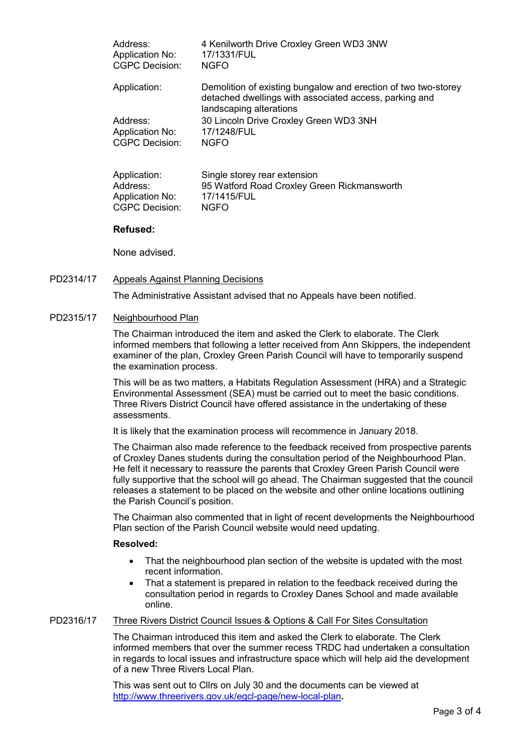| Address:               | 4 Kenilworth Drive Croxley Green WD3 3NW                                                                                                            |
|------------------------|-----------------------------------------------------------------------------------------------------------------------------------------------------|
| <b>Application No:</b> | 17/1331/FUL                                                                                                                                         |
| <b>CGPC Decision:</b>  | <b>NGFO</b>                                                                                                                                         |
| Application:           | Demolition of existing bungalow and erection of two two-storey<br>detached dwellings with associated access, parking and<br>landscaping alterations |
| Address:               | 30 Lincoln Drive Croxley Green WD3 3NH                                                                                                              |
| Application No:        | 17/1248/FUL                                                                                                                                         |
| <b>CGPC Decision:</b>  | <b>NGFO</b>                                                                                                                                         |

| Application:    | Single storey rear extension                |
|-----------------|---------------------------------------------|
| Address:        | 95 Watford Road Croxley Green Rickmansworth |
| Application No: | 17/1415/FUL                                 |
| CGPC Decision:  | <b>NGFO</b>                                 |

## **Refused:**

None advised.

## PD2314/17 Appeals Against Planning Decisions

The Administrative Assistant advised that no Appeals have been notified.

## PD2315/17 Neighbourhood Plan

The Chairman introduced the item and asked the Clerk to elaborate. The Clerk informed members that following a letter received from Ann Skippers, the independent examiner of the plan, Croxley Green Parish Council will have to temporarily suspend the examination process.

This will be as two matters, a Habitats Regulation Assessment (HRA) and a Strategic Environmental Assessment (SEA) must be carried out to meet the basic conditions. Three Rivers District Council have offered assistance in the undertaking of these assessments.

It is likely that the examination process will recommence in January 2018.

The Chairman also made reference to the feedback received from prospective parents of Croxley Danes students during the consultation period of the Neighbourhood Plan. He felt it necessary to reassure the parents that Croxley Green Parish Council were fully supportive that the school will go ahead. The Chairman suggested that the council releases a statement to be placed on the website and other online locations outlining the Parish Council's position.

The Chairman also commented that in light of recent developments the Neighbourhood Plan section of the Parish Council website would need updating.

## **Resolved:**

- That the neighbourhood plan section of the website is updated with the most recent information.
- That a statement is prepared in relation to the feedback received during the consultation period in regards to Croxley Danes School and made available online.

# PD2316/17 Three Rivers District Council Issues & Options & Call For Sites Consultation

The Chairman introduced this item and asked the Clerk to elaborate. The Clerk informed members that over the summer recess TRDC had undertaken a consultation in regards to local issues and infrastructure space which will help aid the development of a new Three Rivers Local Plan.

This was sent out to Cllrs on July 30 and the documents can be viewed at http://www.threerivers.gov.uk/egcl-page/new-local-plan**.**